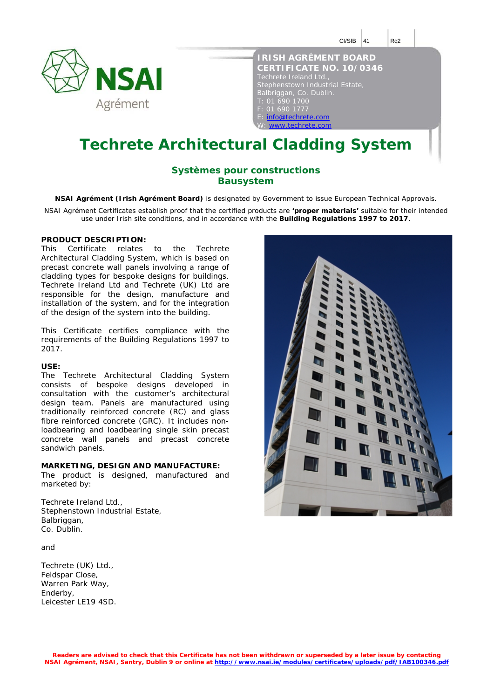

| <b>IRISH AGRÉMENT BOARD</b>     |
|---------------------------------|
| <b>CERTIFICATE NO. 10/0346</b>  |
| Techrete Ireland Ltd.,          |
| Stephenstown Industrial Estate, |
| Balbriggan, Co. Dublin.         |
| T: 01 690 1700                  |
| F: 01 690 1777                  |
| E: info@techrete.com            |
| W: www.techrete.com             |

# **Techrete Architectural Cladding System**

### **Systèmes pour constructions Bausystem**

**NSAI Agrément (Irish Agrément Board)** is designated by Government to issue European Technical Approvals.

NSAI Agrément Certificates establish proof that the certified products are **'proper materials'** suitable for their intended use under Irish site conditions, and in accordance with the **Building Regulations 1997 to 2017**.

#### **PRODUCT DESCRIPTION:**

This Certificate relates to the Techrete Architectural Cladding System, which is based on precast concrete wall panels involving a range of cladding types for bespoke designs for buildings. Techrete Ireland Ltd and Techrete (UK) Ltd are responsible for the design, manufacture and installation of the system, and for the integration of the design of the system into the building.

This Certificate certifies compliance with the requirements of the Building Regulations 1997 to 2017.

#### **USE:**

The Techrete Architectural Cladding System consists of bespoke designs developed in consultation with the customer's architectural design team. Panels are manufactured using traditionally reinforced concrete (RC) and glass fibre reinforced concrete (GRC). It includes nonloadbearing and loadbearing single skin precast concrete wall panels and precast concrete sandwich panels.

#### **MARKETING, DESIGN AND MANUFACTURE:**

The product is designed, manufactured and marketed by:

Techrete Ireland Ltd., Stephenstown Industrial Estate, Balbriggan, Co. Dublin.

and

Techrete (UK) Ltd., Feldspar Close, Warren Park Way, Enderby, Leicester LE19 4SD.

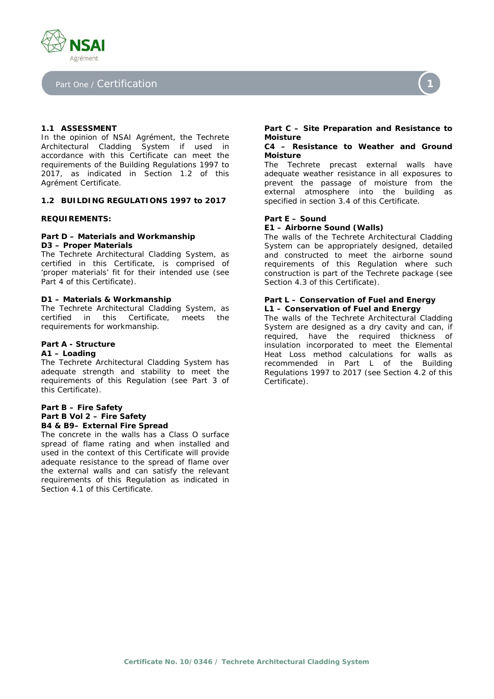

#### Part One / Certification



#### **1.1 ASSESSMENT**

In the opinion of NSAI Agrément, the Techrete Architectural Cladding System if used in accordance with this Certificate can meet the requirements of the Building Regulations 1997 to 2017, as indicated in Section 1.2 of this Agrément Certificate.

#### **1.2 BUILDING REGULATIONS 1997 to 2017**

#### **REQUIREMENTS:**

#### *Part D – Materials and Workmanship*  **D3 – Proper Materials**

The Techrete Architectural Cladding System, as certified in this Certificate, is comprised of 'proper materials' fit for their intended use (see Part 4 of this Certificate).

#### **D1 – Materials & Workmanship**

The Techrete Architectural Cladding System, as certified in this Certificate, meets the requirements for workmanship.

#### *Part A - Structure*

#### **A1 – Loading**

The Techrete Architectural Cladding System has adequate strength and stability to meet the requirements of this Regulation (see Part 3 of this Certificate).

#### *Part B – Fire Safety Part B Vol 2 – Fire Safety*  **B4 & B9– External Fire Spread**

The concrete in the walls has a Class O surface spread of flame rating and when installed and used in the context of this Certificate will provide adequate resistance to the spread of flame over the external walls and can satisfy the relevant requirements of this Regulation as indicated in Section 4.1 of this Certificate.

#### *Part C – Site Preparation and Resistance to Moisture*

#### **C4 – Resistance to Weather and Ground Moisture**

The Techrete precast external walls have adequate weather resistance in all exposures to prevent the passage of moisture from the external atmosphere into the building as specified in section 3.4 of this Certificate.

#### *Part E – Sound*

#### **E1 – Airborne Sound (Walls)**

The walls of the Techrete Architectural Cladding System can be appropriately designed, detailed and constructed to meet the airborne sound requirements of this Regulation where such construction is part of the Techrete package (see Section 4.3 of this Certificate).

#### *Part L – Conservation of Fuel and Energy*  **L1 – Conservation of Fuel and Energy**

The walls of the Techrete Architectural Cladding System are designed as a dry cavity and can, if required, have the required thickness of insulation incorporated to meet the Elemental Heat Loss method calculations for walls as recommended in Part L of the Building Regulations 1997 to 2017 (see Section 4.2 of this Certificate).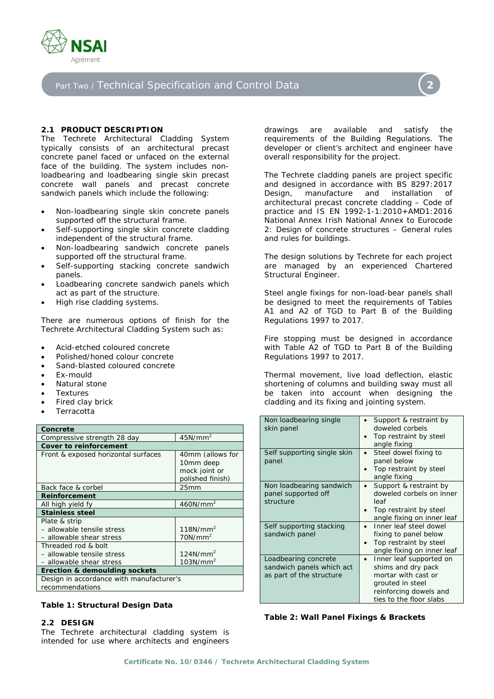

# Part Two / Technical Specification and Control Data



The Techrete Architectural Cladding System typically consists of an architectural precast concrete panel faced or unfaced on the external face of the building. The system includes nonloadbearing and loadbearing single skin precast concrete wall panels and precast concrete sandwich panels which include the following:

- Non-loadbearing single skin concrete panels supported off the structural frame.
- Self-supporting single skin concrete cladding independent of the structural frame.
- Non-loadbearing sandwich concrete panels supported off the structural frame.
- Self-supporting stacking concrete sandwich panels.
- Loadbearing concrete sandwich panels which act as part of the structure.
- High rise cladding systems.

There are numerous options of finish for the Techrete Architectural Cladding System such as:

- Acid-etched coloured concrete
- Polished/honed colour concrete
- Sand-blasted coloured concrete
- Ex-mould
- Natural stone
- **Textures**
- Fired clay brick
- Terracotta

| Terracotta                                                                    |                                                                    |  |
|-------------------------------------------------------------------------------|--------------------------------------------------------------------|--|
| Concrete                                                                      |                                                                    |  |
| Compressive strength 28 day                                                   | 45N/mm <sup>2</sup>                                                |  |
| <b>Cover to reinforcement</b>                                                 |                                                                    |  |
| Front & exposed horizontal surfaces                                           | 40mm (allows for<br>10mm deep<br>mock joint or<br>polished finish) |  |
| Back face & corbel                                                            | 25 <sub>mm</sub>                                                   |  |
| <b>Reinforcement</b>                                                          |                                                                    |  |
| All high yield fy                                                             | 460N/mm <sup>2</sup>                                               |  |
| <b>Stainless steel</b>                                                        |                                                                    |  |
| Plate & strip<br>- allowable tensile stress<br>- allowable shear stress       | 118N/mm <sup>2</sup><br>70N/mm <sup>2</sup>                        |  |
| Threaded rod & bolt<br>- allowable tensile stress<br>- allowable shear stress | $124$ N/mm <sup>2</sup><br>103N/mm <sup>2</sup>                    |  |
| Erection & demoulding sockets                                                 |                                                                    |  |
| Design in accordance with manufacturer's<br>recommendations                   |                                                                    |  |

#### **Table 1: Structural Design Data**

#### **2.2 DESIGN**

The Techrete architectural cladding system is intended for use where architects and engineers

drawings are available and satisfy the requirements of the Building Regulations. The developer or client's architect and engineer have overall responsibility for the project.

The Techrete cladding panels are project specific and designed in accordance with BS 8297:2017 *Design, manufacture and installation of architectural precast concrete cladding – Code of practice* and IS EN 1992-1-1:2010+AMD1:2016 National Annex *Irish National Annex to Eurocode 2: Design of concrete structures – General rules and rules for buildings*.

The design solutions by Techrete for each project are managed by an experienced Chartered Structural Engineer.

Steel angle fixings for non-load-bear panels shall be designed to meet the requirements of Tables A1 and A2 of TGD to Part B of the Building Regulations 1997 to 2017.

Fire stopping must be designed in accordance with Table A2 of TGD to Part B of the Building Regulations 1997 to 2017.

Thermal movement, live load deflection, elastic shortening of columns and building sway must all be taken into account when designing the cladding and its fixing and jointing system.

| Non loadbearing single<br>skin panel                                          | Support & restraint by<br>doweled corbels<br>Top restraint by steel<br>angle fixing                                                           |
|-------------------------------------------------------------------------------|-----------------------------------------------------------------------------------------------------------------------------------------------|
| Self supporting single skin<br>panel                                          | Steel dowel fixing to<br>panel below<br>Top restraint by steel<br>angle fixing                                                                |
| Non loadbearing sandwich<br>panel supported off<br>structure                  | Support & restraint by<br>doweled corbels on inner<br>leaf<br>Top restraint by steel<br>angle fixing on inner leaf                            |
| Self supporting stacking<br>sandwich panel                                    | Inner leaf steel dowel<br>fixing to panel below<br>Top restraint by steel<br>angle fixing on inner leaf                                       |
| Loadbearing concrete<br>sandwich panels which act<br>as part of the structure | Inner leaf supported on<br>shims and dry pack<br>mortar with cast or<br>grouted in steel<br>reinforcing dowels and<br>ties to the floor slabs |

#### **Table 2: Wall Panel Fixings & Brackets**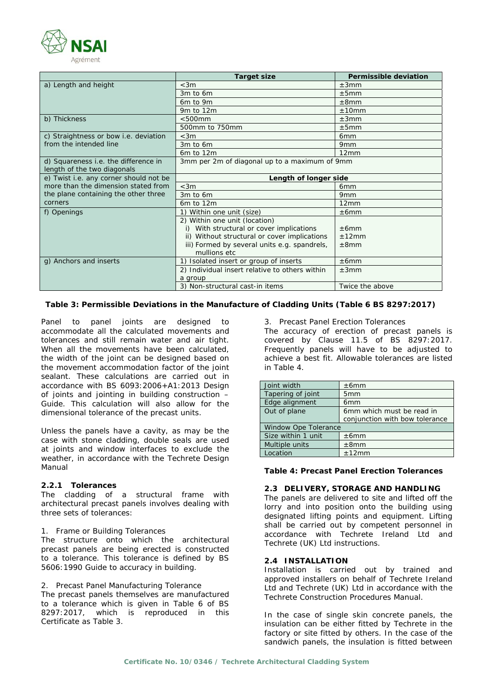

|                                              | <b>Target size</b>                             | <b>Permissible deviation</b> |
|----------------------------------------------|------------------------------------------------|------------------------------|
| a) Length and height                         | $<$ 3m                                         | ±3mm                         |
|                                              | 3m to 6m                                       | ±5mm                         |
|                                              | 6m to 9m                                       | ±8mm                         |
|                                              | 9m to 12m                                      | ±10mm                        |
| b) Thickness                                 | $< 500$ mm                                     | ±3mm                         |
|                                              | 500mm to 750mm                                 | ±5mm                         |
| c) Straightness or bow <i>i.e.</i> deviation | $<$ 3m                                         | 6 <sub>mm</sub>              |
| from the intended line                       | 3m to 6m                                       | 9 <sub>mm</sub>              |
|                                              | $6m$ to $12m$                                  | 12mm                         |
| d) Squareness <i>i.e.</i> the difference in  | 3mm per 2m of diagonal up to a maximum of 9mm  |                              |
| length of the two diagonals                  |                                                |                              |
| e) Twist i.e. any corner should not be       | Length of longer side                          |                              |
| more than the dimension stated from          | $<$ 3m                                         | 6 <sub>mm</sub>              |
| the plane containing the other three         | 3m to 6m                                       | 9 <sub>mm</sub>              |
| corners                                      | 6m to 12m                                      | 12mm                         |
| f) Openings                                  | 1) Within one unit (size)                      | ±6mm                         |
|                                              | 2) Within one unit (location)                  |                              |
|                                              | i) With structural or cover implications       | ±6mm                         |
|                                              | ii) Without structural or cover implications   | ±12mm                        |
|                                              | iii) Formed by several units e.g. spandrels,   | $\pm 8$ mm                   |
|                                              | mullions etc.                                  |                              |
| g) Anchors and inserts                       | 1) Isolated insert or group of inserts         | ±6mm                         |
|                                              | 2) Individual insert relative to others within | ±3mm                         |
|                                              | a group                                        |                              |
|                                              | 3) Non-structural cast-in items                | Twice the above              |

#### **Table 3: Permissible Deviations in the Manufacture of Cladding Units (Table 6 BS 8297:2017)**

Panel to panel joints are designed to accommodate all the calculated movements and tolerances and still remain water and air tight. When all the movements have been calculated, the width of the joint can be designed based on the movement accommodation factor of the joint sealant. These calculations are carried out in accordance with BS 6093:2006+A1:2013 *Design of joints and jointing in building construction – Guide*. This calculation will also allow for the dimensional tolerance of the precast units.

Unless the panels have a cavity, as may be the case with stone cladding, double seals are used at joints and window interfaces to exclude the weather, in accordance with the Techrete Design Manual

#### **2.2.1 Tolerances**

The cladding of a structural frame with architectural precast panels involves dealing with three sets of tolerances:

1. Frame or Building Tolerances

The structure onto which the architectural precast panels are being erected is constructed to a tolerance. This tolerance is defined by BS 5606:1990 *Guide to accuracy in building*.

2. Precast Panel Manufacturing Tolerance

The precast panels themselves are manufactured to a tolerance which is given in Table 6 of BS 8297:2017, which is reproduced in this Certificate as Table 3.

3. Precast Panel Erection Tolerances

The accuracy of erection of precast panels is covered by Clause 11.5 of BS 8297:2017. Frequently panels will have to be adjusted to achieve a best fit. Allowable tolerances are listed in Table 4.

| Joint width                 | ±6mm                           |  |
|-----------------------------|--------------------------------|--|
| Tapering of joint           | 5 <sub>mm</sub>                |  |
| Edge alignment              | 6 <sub>mm</sub>                |  |
| Out of plane                | 6mm which must be read in      |  |
|                             | conjunction with bow tolerance |  |
| <b>Window Ope Tolerance</b> |                                |  |
| Size within 1 unit          | ±6mm                           |  |
| Multiple units              | ±8mm                           |  |
| Location                    | ±12mm                          |  |

**Table 4: Precast Panel Erection Tolerances** 

#### **2.3 DELIVERY, STORAGE AND HANDLING**

The panels are delivered to site and lifted off the lorry and into position onto the building using designated lifting points and equipment. Lifting shall be carried out by competent personnel in accordance with Techrete Ireland Ltd and Techrete (UK) Ltd instructions.

#### **2.4 INSTALLATION**

Installation is carried out by trained and approved installers on behalf of Techrete Ireland Ltd and Techrete (UK) Ltd in accordance with the Techrete Construction Procedures Manual.

In the case of single skin concrete panels, the insulation can be either fitted by Techrete in the factory or site fitted by others. In the case of the sandwich panels, the insulation is fitted between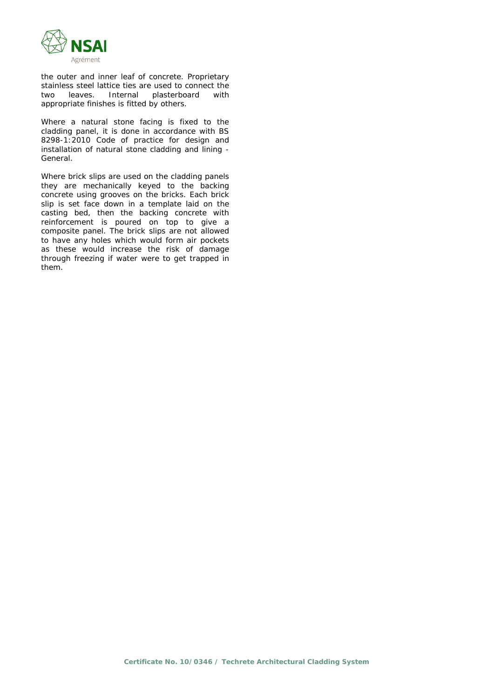

the outer and inner leaf of concrete. Proprietary stainless steel lattice ties are used to connect the two leaves. Internal plasterboard with appropriate finishes is fitted by others.

Where a natural stone facing is fixed to the cladding panel, it is done in accordance with BS 8298-1:2010 *Code of practice for design and installation of natural stone cladding and lining - General*.

Where brick slips are used on the cladding panels they are mechanically keyed to the backing concrete using grooves on the bricks. Each brick slip is set face down in a template laid on the casting bed, then the backing concrete with reinforcement is poured on top to give a composite panel. The brick slips are not allowed to have any holes which would form air pockets as these would increase the risk of damage through freezing if water were to get trapped in them.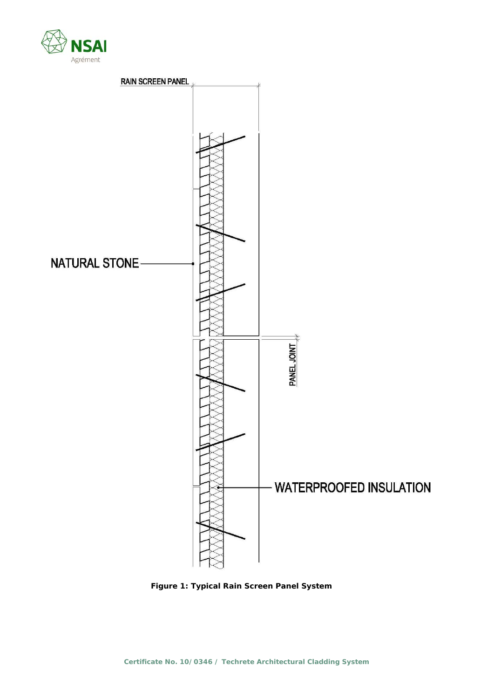



**Figure 1: Typical Rain Screen Panel System**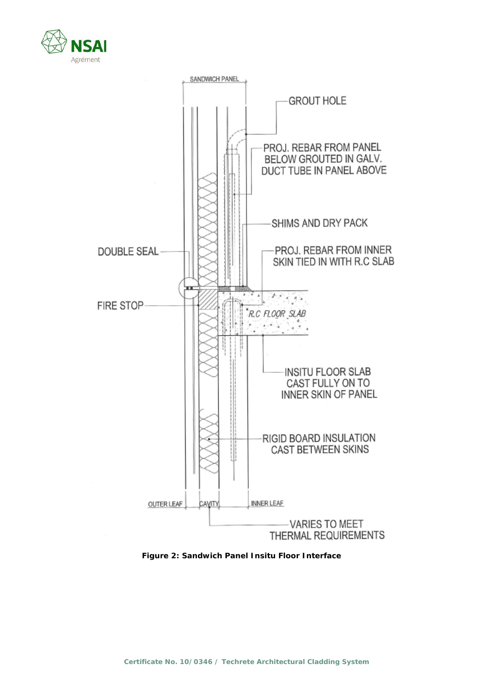



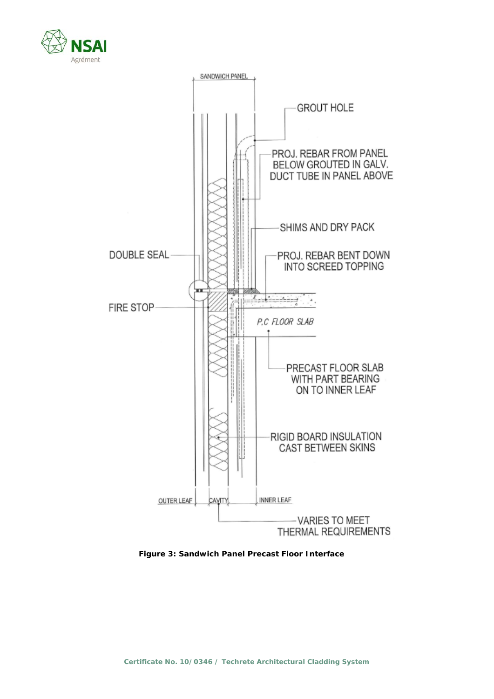



**Figure 3: Sandwich Panel Precast Floor Interface**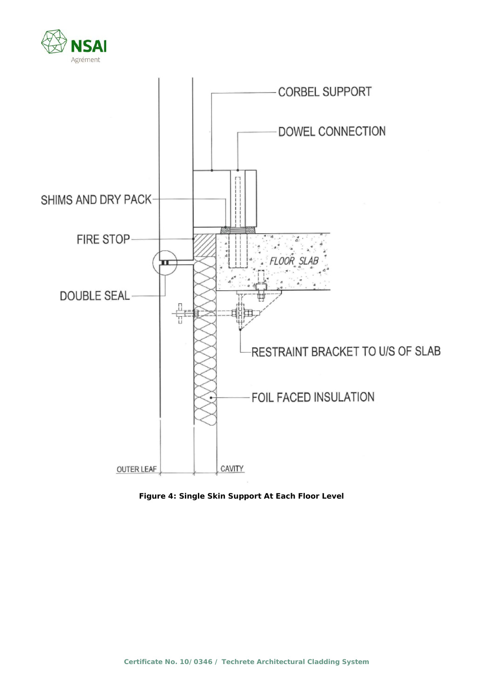



**Figure 4: Single Skin Support At Each Floor Level**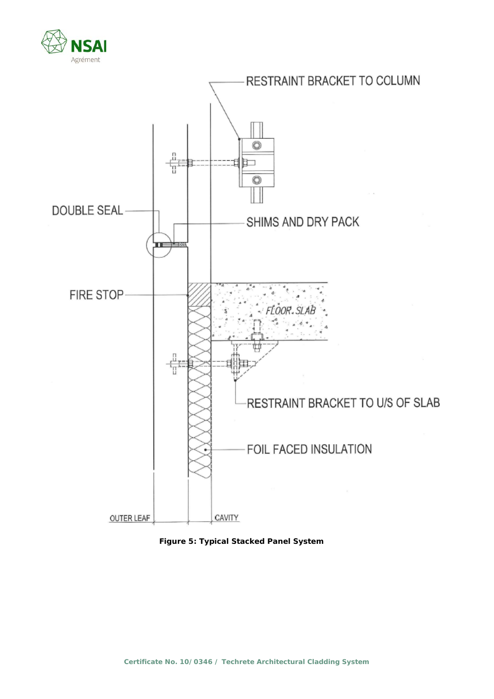



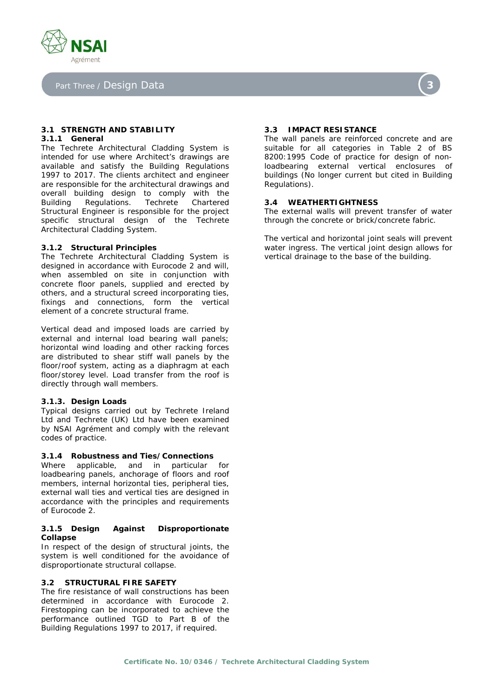

Part Three / Design Data

# **3.1 STRENGTH AND STABILITY**

# **3.1.1 General**

The Techrete Architectural Cladding System is intended for use where Architect's drawings are available and satisfy the Building Regulations 1997 to 2017. The clients architect and engineer are responsible for the architectural drawings and overall building design to comply with the Building Regulations. Techrete Chartered Structural Engineer is responsible for the project specific structural design of the Techrete Architectural Cladding System.

#### **3.1.2 Structural Principles**

The Techrete Architectural Cladding System is designed in accordance with Eurocode 2 and will, when assembled on site in conjunction with concrete floor panels, supplied and erected by others, and a structural screed incorporating ties, fixings and connections, form the vertical element of a concrete structural frame.

Vertical dead and imposed loads are carried by external and internal load bearing wall panels; horizontal wind loading and other racking forces are distributed to shear stiff wall panels by the floor/roof system, acting as a diaphragm at each floor/storey level. Load transfer from the roof is directly through wall members.

#### **3.1.3. Design Loads**

Typical designs carried out by Techrete Ireland Ltd and Techrete (UK) Ltd have been examined by NSAI Agrément and comply with the relevant codes of practice.

#### **3.1.4 Robustness and Ties/Connections**

Where applicable, and in particular for loadbearing panels, anchorage of floors and roof members, internal horizontal ties, peripheral ties, external wall ties and vertical ties are designed in accordance with the principles and requirements of Eurocode 2.

#### **3.1.5 Design Against Disproportionate Collapse**

In respect of the design of structural joints, the system is well conditioned for the avoidance of disproportionate structural collapse.

#### **3.2 STRUCTURAL FIRE SAFETY**

The fire resistance of wall constructions has been determined in accordance with Eurocode 2. Firestopping can be incorporated to achieve the performance outlined TGD to Part B of the Building Regulations 1997 to 2017, if required.

#### **3.3 IMPACT RESISTANCE**

The wall panels are reinforced concrete and are suitable for all categories in Table 2 of BS 8200:1995 *Code of practice for design of nonloadbearing external vertical enclosures of buildings (No longer current but cited in Building Regulations).*

#### **3.4 WEATHERTIGHTNESS**

The external walls will prevent transfer of water through the concrete or brick/concrete fabric.

The vertical and horizontal joint seals will prevent water ingress. The vertical joint design allows for vertical drainage to the base of the building.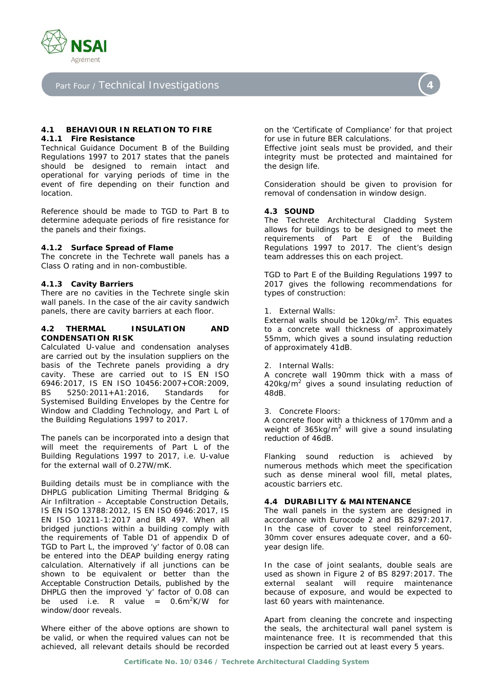

Part Four / Technical Investigations

#### **4.1 BEHAVIOUR IN RELATION TO FIRE 4.1.1 Fire Resistance**

Technical Guidance Document B of the Building Regulations 1997 to 2017 states that the panels should be designed to remain intact and operational for varying periods of time in the event of fire depending on their function and location.

Reference should be made to TGD to Part B to determine adequate periods of fire resistance for the panels and their fixings.

#### **4.1.2 Surface Spread of Flame**

The concrete in the Techrete wall panels has a Class O rating and in non-combustible.

#### **4.1.3 Cavity Barriers**

There are no cavities in the Techrete single skin wall panels. In the case of the air cavity sandwich panels, there are cavity barriers at each floor.

#### **4.2 THERMAL INSULATION AND CONDENSATION RISK**

Calculated U-value and condensation analyses are carried out by the insulation suppliers on the basis of the Techrete panels providing a dry cavity. These are carried out to IS EN ISO 6946:2017, IS EN ISO 10456:2007+COR:2009, BS 5250:2011+A1:2016, Standards for Systemised Building Envelopes by the Centre for Window and Cladding Technology, and Part L of the Building Regulations 1997 to 2017.

The panels can be incorporated into a design that will meet the requirements of Part L of the Building Regulations 1997 to 2017, i.e. U-value for the external wall of 0.27W/mK.

Building details must be in compliance with the DHPLG publication *Limiting Thermal Bridging & Air Infiltration – Acceptable Construction Details*, IS EN ISO 13788:2012, IS EN ISO 6946:2017, IS EN ISO 10211-1:2017 and BR 497. When all bridged junctions within a building comply with the requirements of Table D1 of appendix D of TGD to Part L, the improved 'y' factor of 0.08 can be entered into the DEAP building energy rating calculation. Alternatively if all junctions can be shown to be equivalent or better than the Acceptable Construction Details, published by the DHPLG then the improved 'y' factor of 0.08 can be used i.e. R value =  $0.6m^2K/W$  for window/door reveals.

Where either of the above options are shown to be valid, or when the required values can not be achieved, all relevant details should be recorded

on the 'Certificate of Compliance' for that project for use in future BER calculations.

Effective joint seals must be provided, and their integrity must be protected and maintained for the design life.

Consideration should be given to provision for removal of condensation in window design.

#### **4.3 SOUND**

The Techrete Architectural Cladding System allows for buildings to be designed to meet the requirements of Part E of the Building Regulations 1997 to 2017. The client's design team addresses this on each project.

TGD to Part E of the Building Regulations 1997 to 2017 gives the following recommendations for types of construction:

1. External Walls:

External walls should be  $120\text{kg/m}^2$ . This equates to a concrete wall thickness of approximately 55mm, which gives a sound insulating reduction of approximately 41dB.

2. Internal Walls:

A concrete wall 190mm thick with a mass of  $420$ kg/m<sup>2</sup> gives a sound insulating reduction of 48dB.

3. Concrete Floors:

A concrete floor with a thickness of 170mm and a weight of  $365\text{kg/m}^2$  will give a sound insulating reduction of 46dB.

Flanking sound reduction is achieved by numerous methods which meet the specification such as dense mineral wool fill, metal plates, acoustic barriers etc.

#### **4.4 DURABILITY & MAINTENANCE**

The wall panels in the system are designed in accordance with Eurocode 2 and BS 8297:2017. In the case of cover to steel reinforcement, 30mm cover ensures adequate cover, and a 60 year design life.

In the case of joint sealants, double seals are used as shown in Figure 2 of BS 8297:2017. The external sealant will require maintenance because of exposure, and would be expected to last 60 years with maintenance.

Apart from cleaning the concrete and inspecting the seals, the architectural wall panel system is maintenance free. It is recommended that this inspection be carried out at least every 5 years.

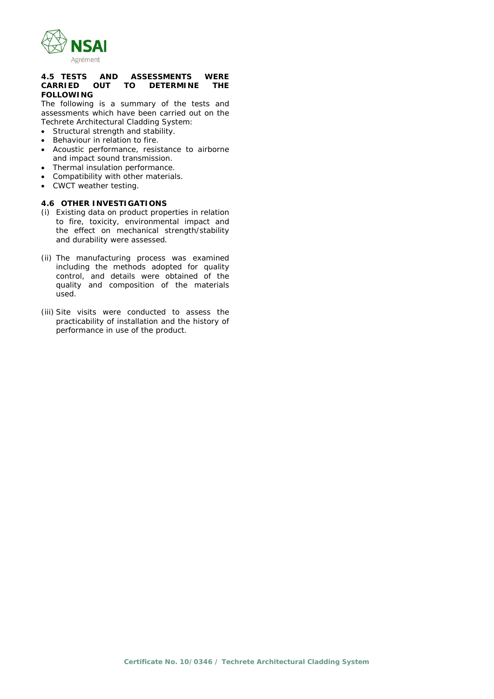

#### **4.5 TESTS AND ASSESSMENTS WERE CARRIED OUT TO DETERMINE THE FOLLOWING**

The following is a summary of the tests and assessments which have been carried out on the Techrete Architectural Cladding System:

- Structural strength and stability.
- Behaviour in relation to fire.
- Acoustic performance, resistance to airborne and impact sound transmission.
- Thermal insulation performance.
- Compatibility with other materials.
- CWCT weather testing.

#### **4.6 OTHER INVESTIGATIONS**

- (i) Existing data on product properties in relation to fire, toxicity, environmental impact and the effect on mechanical strength/stability and durability were assessed.
- (ii) The manufacturing process was examined including the methods adopted for quality control, and details were obtained of the quality and composition of the materials used.
- (iii) Site visits were conducted to assess the practicability of installation and the history of performance in use of the product.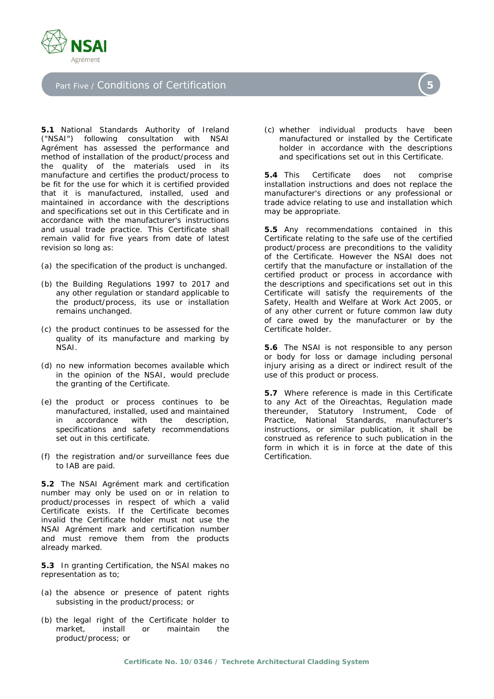

## Part Five / Conditions of Certification

**5.1** National Standards Authority of Ireland ("NSAI") following consultation with NSAI Agrément has assessed the performance and method of installation of the product/process and the quality of the materials used in its manufacture and certifies the product/process to be fit for the use for which it is certified provided that it is manufactured, installed, used and maintained in accordance with the descriptions and specifications set out in this Certificate and in accordance with the manufacturer's instructions and usual trade practice. This Certificate shall remain valid for five years from date of latest revision so long as:

- (a) the specification of the product is unchanged.
- (b) the Building Regulations 1997 to 2017 and any other regulation or standard applicable to the product/process, its use or installation remains unchanged.
- (c) the product continues to be assessed for the quality of its manufacture and marking by NSAI.
- (d) no new information becomes available which in the opinion of the NSAI, would preclude the granting of the Certificate.
- (e) the product or process continues to be manufactured, installed, used and maintained in accordance with the description, specifications and safety recommendations set out in this certificate.
- (f) the registration and/or surveillance fees due to IAB are paid.

**5.2** The NSAI Agrément mark and certification number may only be used on or in relation to product/processes in respect of which a valid Certificate exists. If the Certificate becomes invalid the Certificate holder must not use the NSAI Agrément mark and certification number and must remove them from the products already marked.

**5.3** In granting Certification, the NSAI makes no representation as to;

- (a) the absence or presence of patent rights subsisting in the product/process; or
- (b) the legal right of the Certificate holder to market, install or maintain the product/process; or

(c) whether individual products have been manufactured or installed by the Certificate holder in accordance with the descriptions and specifications set out in this Certificate.

**5.4** This Certificate does not comprise installation instructions and does not replace the manufacturer's directions or any professional or trade advice relating to use and installation which may be appropriate.

**5.5** Any recommendations contained in this Certificate relating to the safe use of the certified product/process are preconditions to the validity of the Certificate. However the NSAI does not certify that the manufacture or installation of the certified product or process in accordance with the descriptions and specifications set out in this Certificate will satisfy the requirements of the Safety, Health and Welfare at Work Act 2005, or of any other current or future common law duty of care owed by the manufacturer or by the Certificate holder.

**5.6** The NSAI is not responsible to any person or body for loss or damage including personal injury arising as a direct or indirect result of the use of this product or process.

**5.7** Where reference is made in this Certificate to any Act of the Oireachtas, Regulation made thereunder, Statutory Instrument, Code of Practice, National Standards, manufacturer's instructions, or similar publication, it shall be construed as reference to such publication in the form in which it is in force at the date of this Certification.